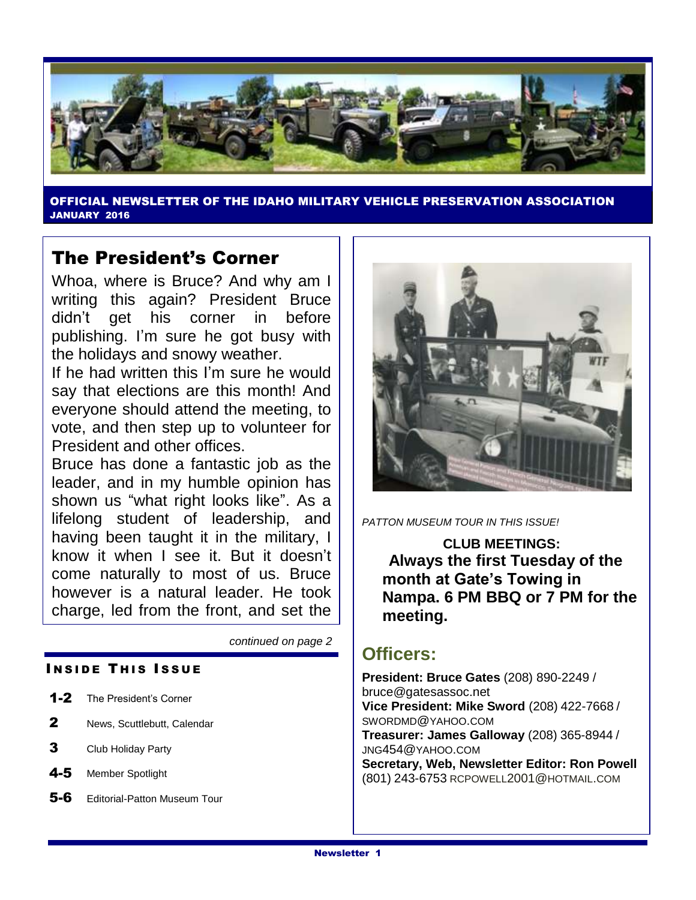

OFFICIAL NEWSLETTER OF THE IDAHO MILITARY VEHICLE PRESERVATION ASSOCIATION JANUARY 2016

### The President's Corner

Whoa, where is Bruce? And why am I writing this again? President Bruce didn't get his corner in before publishing. I'm sure he got busy with the holidays and snowy weather.

If he had written this I'm sure he would say that elections are this month! And everyone should attend the meeting, to vote, and then step up to volunteer for President and other offices.

Bruce has done a fantastic job as the leader, and in my humble opinion has shown us "what right looks like". As a lifelong student of leadership, and having been taught it in the military, I know it when I see it. But it doesn't come naturally to most of us. Bruce however is a natural leader. He took charge, led from the front, and set the

*continued on page 2*

#### **INSIDE THIS ISSUE**

- 1-2 The President's Corner
- 2 News, Scuttlebutt, Calendar
- **3** Club Holiday Party
- 4-5 Member Spotlight
- 5-6 Editorial-Patton Museum Tour



*PATTON MUSEUM TOUR IN THIS ISSUE!*

**CLUB MEETINGS: Always the first Tuesday of the month at Gate's Towing in Nampa. 6 PM BBQ or 7 PM for the meeting.**

### **Officers:**

**President: Bruce Gates** (208) 890-2249 / bruce@gatesassoc.net **Vice President: Mike Sword** (208) 422-7668 / SWORDMD@YAHOO.COM **Treasurer: James Galloway** (208) 365-8944 / JNG454@YAHOO.COM **Secretary, Web, Newsletter Editor: Ron Powell**  (801) 243-6753 [RCPOWELL](mailto:rcpowell2001@hotmail.com)2001@HOTMAIL.COM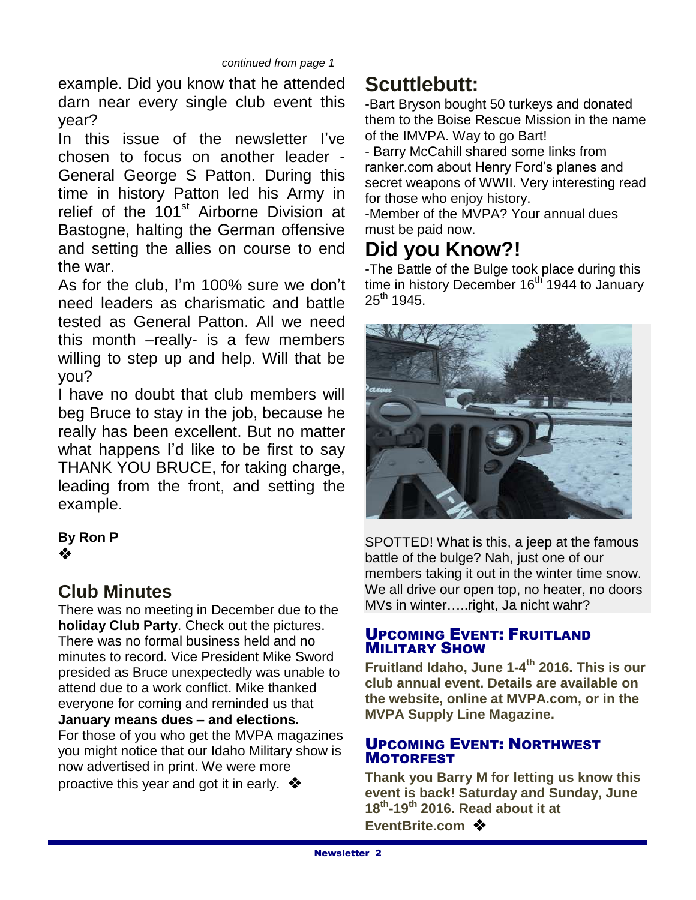example. Did you know that he attended darn near every single club event this year?

In this issue of the newsletter I've chosen to focus on another leader - General George S Patton. During this time in history Patton led his Army in relief of the 101<sup>st</sup> Airborne Division at Bastogne, halting the German offensive and setting the allies on course to end the war.

As for the club, I'm 100% sure we don't need leaders as charismatic and battle tested as General Patton. All we need this month –really- is a few members willing to step up and help. Will that be you?

I have no doubt that club members will beg Bruce to stay in the job, because he really has been excellent. But no matter what happens I'd like to be first to say THANK YOU BRUCE, for taking charge, leading from the front, and setting the example.

#### **By Ron P** ❖

## **Club Minutes**

There was no meeting in December due to the **holiday Club Party**. Check out the pictures. There was no formal business held and no minutes to record. Vice President Mike Sword presided as Bruce unexpectedly was unable to attend due to a work conflict. Mike thanked everyone for coming and reminded us that **January means dues – and elections.**  For those of you who get the MVPA magazines you might notice that our Idaho Military show is now advertised in print. We were more

proactive this year and got it in early.  $\clubsuit$ 

# **Scuttlebutt:**

-Bart Bryson bought 50 turkeys and donated them to the Boise Rescue Mission in the name of the IMVPA. Way to go Bart!

- Barry McCahill shared some links from ranker.com about Henry Ford's planes and secret weapons of WWII. Very interesting read for those who enjoy history.

-Member of the MVPA? Your annual dues must be paid now.

# **Did you Know?!**

-The Battle of the Bulge took place during this time in history December 16<sup>th</sup> 1944 to January  $25^{th}$  1945.



SPOTTED! What is this, a jeep at the famous battle of the bulge? Nah, just one of our members taking it out in the winter time snow. We all drive our open top, no heater, no doors MVs in winter…..right, Ja nicht wahr?

#### UPCOMING EVENT: FRUITLAND MILITARY SHOW

**Fruitland Idaho, June 1-4 th 2016. This is our club annual event. Details are available on the website, online at MVPA.com, or in the MVPA Supply Line Magazine.**

#### UPCOMING EVENT: NORTHWEST MOTORFEST

**Thank you Barry M for letting us know this event is back! Saturday and Sunday, June 18th -19th 2016. Read about it at**  EventBrite.com **※**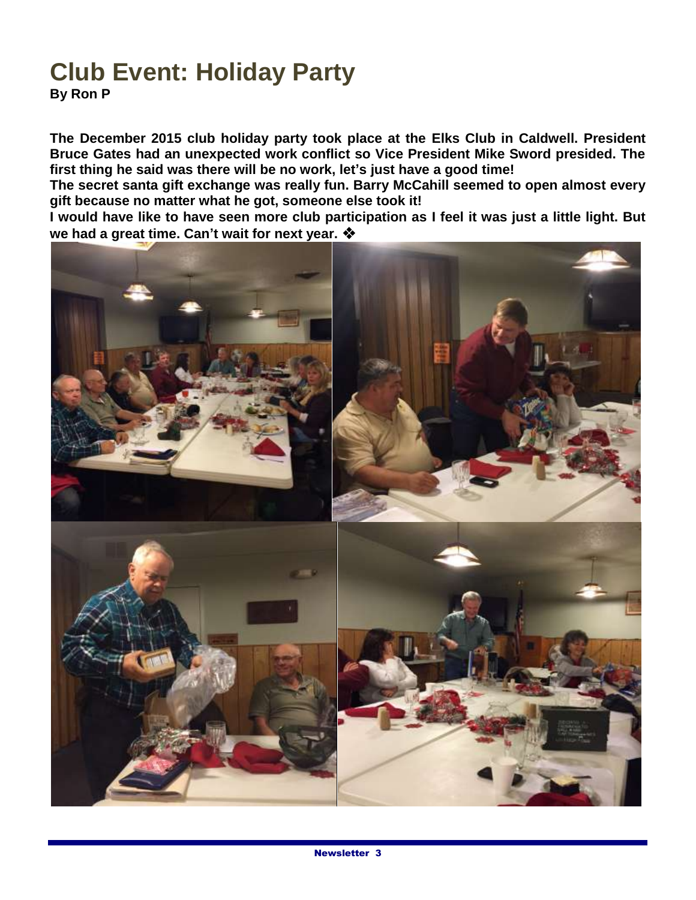# **Club Event: Holiday Party**

**By Ron P**

**The December 2015 club holiday party took place at the Elks Club in Caldwell. President Bruce Gates had an unexpected work conflict so Vice President Mike Sword presided. The first thing he said was there will be no work, let's just have a good time!**

**The secret santa gift exchange was really fun. Barry McCahill seemed to open almost every gift because no matter what he got, someone else took it!**

**I would have like to have seen more club participation as I feel it was just a little light. But we had a great time. Can't wait for next year.**

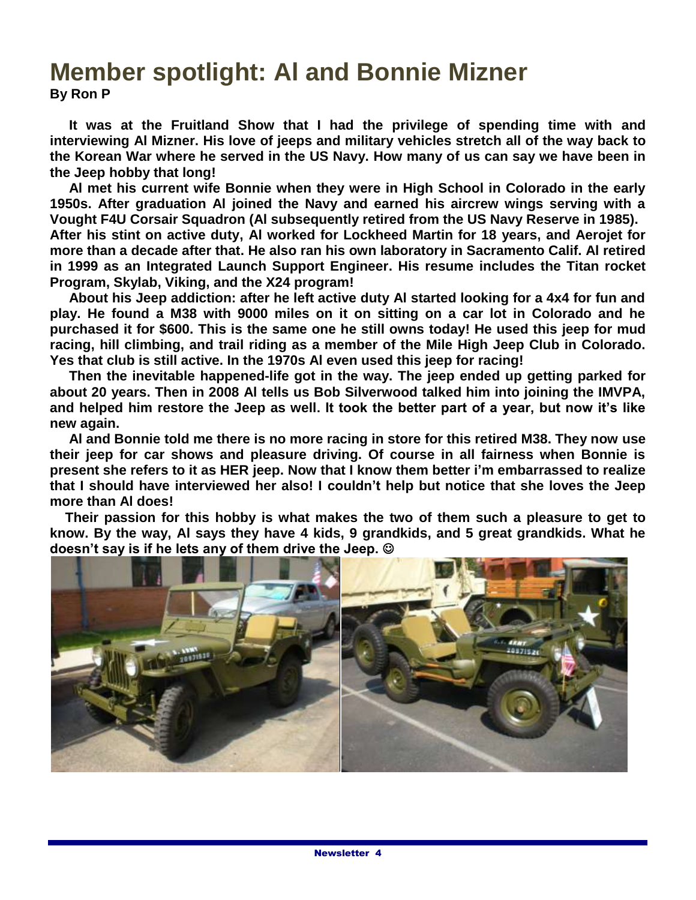## **Member spotlight: Al and Bonnie Mizner By Ron P**

 **It was at the Fruitland Show that I had the privilege of spending time with and interviewing Al Mizner. His love of jeeps and military vehicles stretch all of the way back to the Korean War where he served in the US Navy. How many of us can say we have been in the Jeep hobby that long!**

 **Al met his current wife Bonnie when they were in High School in Colorado in the early 1950s. After graduation Al joined the Navy and earned his aircrew wings serving with a Vought F4U Corsair Squadron (Al subsequently retired from the US Navy Reserve in 1985).** 

**After his stint on active duty, Al worked for Lockheed Martin for 18 years, and Aerojet for more than a decade after that. He also ran his own laboratory in Sacramento Calif. Al retired in 1999 as an Integrated Launch Support Engineer. His resume includes the Titan rocket Program, Skylab, Viking, and the X24 program!**

 **About his Jeep addiction: after he left active duty Al started looking for a 4x4 for fun and play. He found a M38 with 9000 miles on it on sitting on a car lot in Colorado and he purchased it for \$600. This is the same one he still owns today! He used this jeep for mud racing, hill climbing, and trail riding as a member of the Mile High Jeep Club in Colorado. Yes that club is still active. In the 1970s Al even used this jeep for racing!**

 **Then the inevitable happened-life got in the way. The jeep ended up getting parked for about 20 years. Then in 2008 Al tells us Bob Silverwood talked him into joining the IMVPA, and helped him restore the Jeep as well. It took the better part of a year, but now it's like new again.** 

 **Al and Bonnie told me there is no more racing in store for this retired M38. They now use their jeep for car shows and pleasure driving. Of course in all fairness when Bonnie is present she refers to it as HER jeep. Now that I know them better i'm embarrassed to realize that I should have interviewed her also! I couldn't help but notice that she loves the Jeep more than Al does!**

 **Their passion for this hobby is what makes the two of them such a pleasure to get to know. By the way, Al says they have 4 kids, 9 grandkids, and 5 great grandkids. What he doesn't say is if he lets any of them drive the Jeep.** 

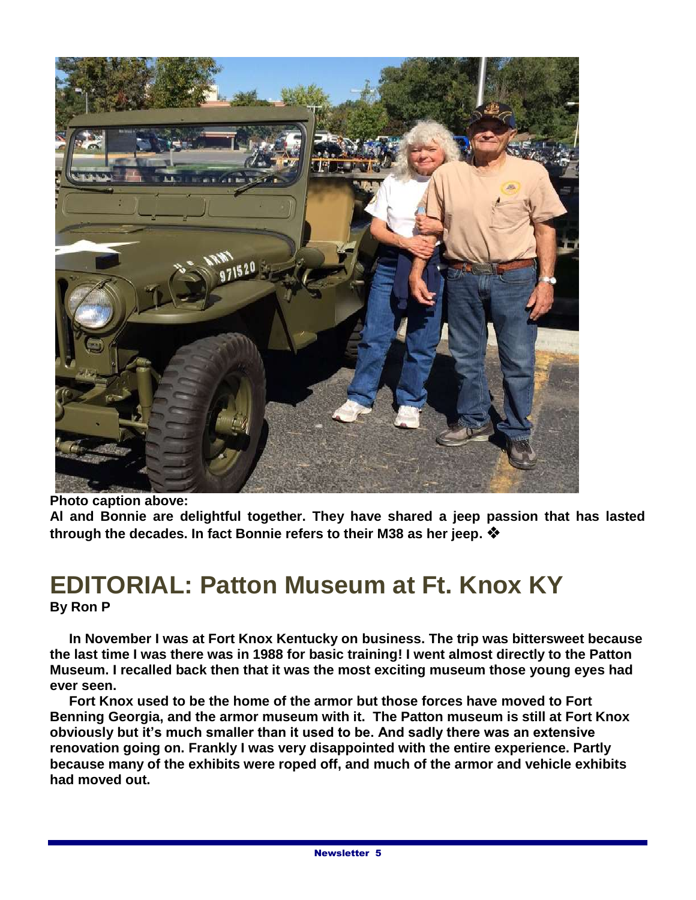

**Photo caption above:**

**Al and Bonnie are delightful together. They have shared a jeep passion that has lasted through the decades. In fact Bonnie refers to their M38 as her jeep.**

## **EDITORIAL: Patton Museum at Ft. Knox KY By Ron P**

 **In November I was at Fort Knox Kentucky on business. The trip was bittersweet because the last time I was there was in 1988 for basic training! I went almost directly to the Patton Museum. I recalled back then that it was the most exciting museum those young eyes had ever seen.**

 **Fort Knox used to be the home of the armor but those forces have moved to Fort Benning Georgia, and the armor museum with it. The Patton museum is still at Fort Knox obviously but it's much smaller than it used to be. And sadly there was an extensive renovation going on. Frankly I was very disappointed with the entire experience. Partly because many of the exhibits were roped off, and much of the armor and vehicle exhibits had moved out.**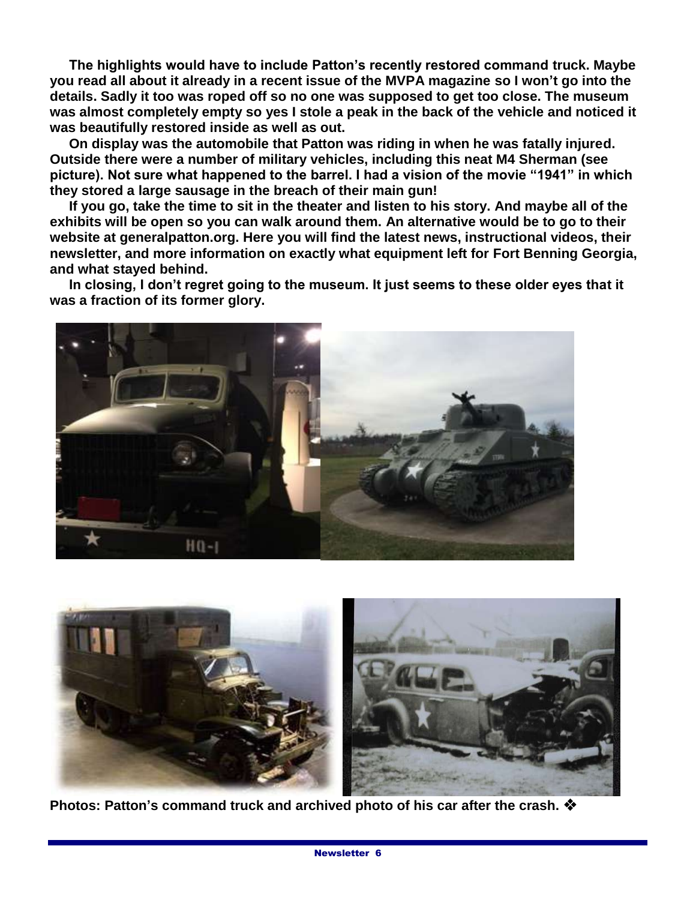**The highlights would have to include Patton's recently restored command truck. Maybe you read all about it already in a recent issue of the MVPA magazine so I won't go into the details. Sadly it too was roped off so no one was supposed to get too close. The museum was almost completely empty so yes I stole a peak in the back of the vehicle and noticed it was beautifully restored inside as well as out.**

 **On display was the automobile that Patton was riding in when he was fatally injured. Outside there were a number of military vehicles, including this neat M4 Sherman (see picture). Not sure what happened to the barrel. I had a vision of the movie "1941" in which they stored a large sausage in the breach of their main gun!**

 **If you go, take the time to sit in the theater and listen to his story. And maybe all of the exhibits will be open so you can walk around them. An alternative would be to go to their website at generalpatton.org. Here you will find the latest news, instructional videos, their newsletter, and more information on exactly what equipment left for Fort Benning Georgia, and what stayed behind.**

 **In closing, I don't regret going to the museum. It just seems to these older eyes that it was a fraction of its former glory.**





**Photos: Patton's command truck and archived photo of his car after the crash.**